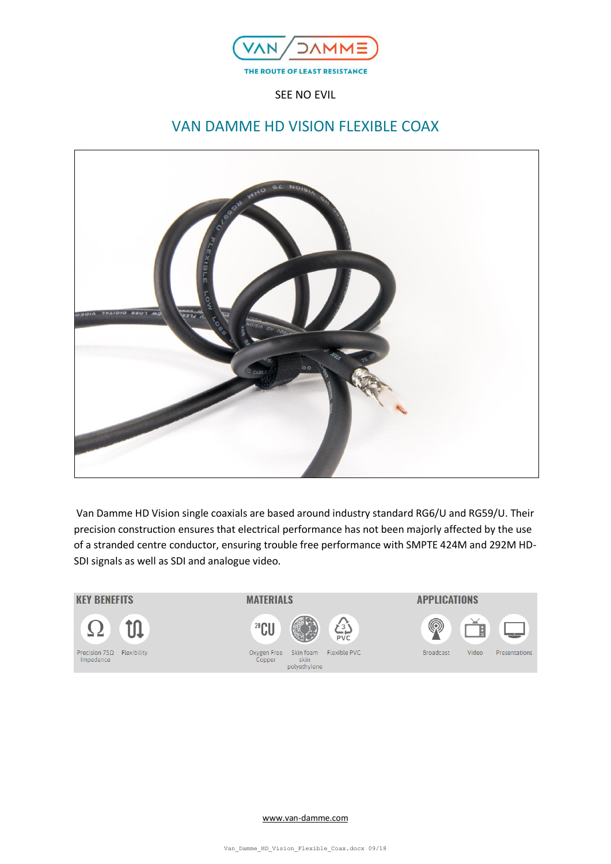

SEE NO EVIL

# VAN DAMME HD VISION FLEXIBLE COAX



Van Damme HD Vision single coaxials are based around industry standard RG6/U and RG59/U. Their precision construction ensures that electrical performance has not been majorly affected by the use of a stranded centre conductor, ensuring trouble free performance with SMPTE 424M and 292M HD-SDI signals as well as SDI and analogue video.



[www.van-damme.com](http://www.van-damme.com/)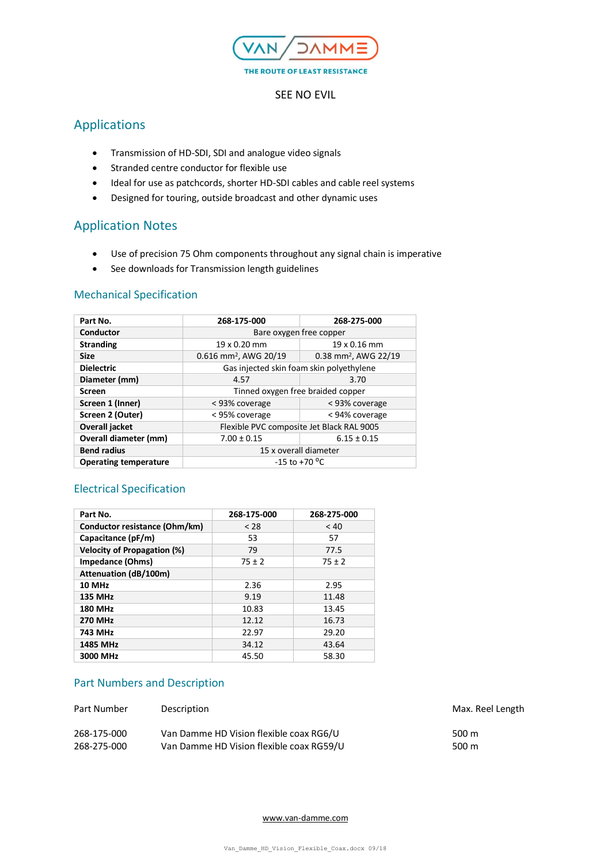

#### SEE NO EVIL

## Applications

- Transmission of HD-SDI, SDI and analogue video signals
- Stranded centre conductor for flexible use
- Ideal for use as patchcords, shorter HD-SDI cables and cable reel systems
- Designed for touring, outside broadcast and other dynamic uses

## Application Notes

- Use of precision 75 Ohm components throughout any signal chain is imperative
- See downloads for Transmission length guidelines

#### Mechanical Specification

| Part No.                     | 268-175-000                               | 268-275-000                      |  |
|------------------------------|-------------------------------------------|----------------------------------|--|
| Conductor                    | Bare oxygen free copper                   |                                  |  |
| <b>Stranding</b>             | 19 x 0.16 mm<br>19 x 0.20 mm              |                                  |  |
| <b>Size</b>                  | $0.616$ mm <sup>2</sup> , AWG 20/19       | 0.38 mm <sup>2</sup> , AWG 22/19 |  |
| <b>Dielectric</b>            | Gas injected skin foam skin polyethylene  |                                  |  |
| Diameter (mm)                | 4.57                                      | 3.70                             |  |
| <b>Screen</b>                | Tinned oxygen free braided copper         |                                  |  |
| Screen 1 (Inner)             | < 93% coverage                            | < 93% coverage                   |  |
| Screen 2 (Outer)             | < 95% coverage                            | < 94% coverage                   |  |
| Overall jacket               | Flexible PVC composite Jet Black RAL 9005 |                                  |  |
| Overall diameter (mm)        | $7.00 \pm 0.15$                           | $6.15 \pm 0.15$                  |  |
| <b>Bend radius</b>           | 15 x overall diameter                     |                                  |  |
| <b>Operating temperature</b> | $-15$ to $+70$ <sup>o</sup> C             |                                  |  |

### Electrical Specification

| Part No.                           | 268-175-000 | 268-275-000 |
|------------------------------------|-------------|-------------|
| Conductor resistance (Ohm/km)      | < 28        | < 40        |
| Capacitance (pF/m)                 | 53          | 57          |
| <b>Velocity of Propagation (%)</b> | 79          | 77.5        |
| <b>Impedance (Ohms)</b>            | $75 \pm 2$  | $75 \pm 2$  |
| <b>Attenuation (dB/100m)</b>       |             |             |
| 10 MHz                             | 2.36        | 2.95        |
| <b>135 MHz</b>                     | 9.19        | 11.48       |
| <b>180 MHz</b>                     | 10.83       | 13.45       |
| <b>270 MHz</b>                     | 12.12       | 16.73       |
| 743 MHz                            | 22.97       | 29.20       |
| <b>1485 MHz</b>                    | 34.12       | 43.64       |
| 3000 MHz                           | 45.50       | 58.30       |

#### Part Numbers and Description

| Part Number | Description                              | Max. Reel Length |
|-------------|------------------------------------------|------------------|
| 268-175-000 | Van Damme HD Vision flexible coax RG6/U  | 500 m            |
| 268-275-000 | Van Damme HD Vision flexible coax RG59/U | 500 m            |

[www.van-damme.com](http://www.van-damme.com/)